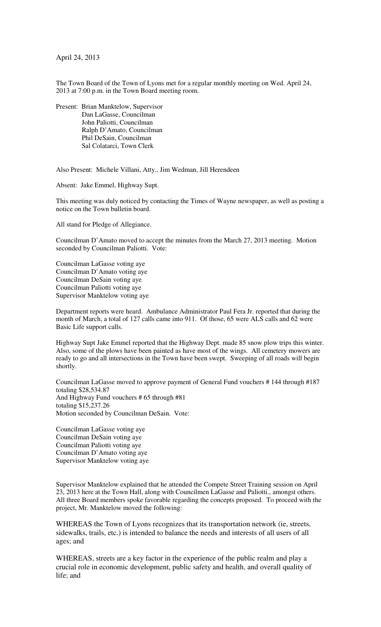April 24, 2013

The Town Board of the Town of Lyons met for a regular monthly meeting on Wed. April 24, 2013 at 7:00 p.m. in the Town Board meeting room.

Present: Brian Manktelow, Supervisor Dan LaGasse, Councilman John Paliotti, Councilman Ralph D'Amato, Councilman Phil DeSain, Councilman Sal Colatarci, Town Clerk

Also Present: Michele Villani, Atty., Jim Wedman, Jill Herendeen

Absent: Jake Emmel, Highway Supt.

This meeting was duly noticed by contacting the Times of Wayne newspaper, as well as posting a notice on the Town bulletin board.

All stand for Pledge of Allegiance.

Councilman D'Amato moved to accept the minutes from the March 27, 2013 meeting. Motion seconded by Councilman Paliotti. Vote:

Councilman LaGasse voting aye Councilman D'Amato voting aye Councilman DeSain voting aye Councilman Paliotti voting aye Supervisor Manktelow voting aye

Department reports were heard. Ambulance Administrator Paul Fera Jr. reported that during the month of March, a total of 127 calls came into 911. Of those, 65 were ALS calls and 62 were Basic Life support calls.

Highway Supt Jake Emmel reported that the Highway Dept. made 85 snow plow trips this winter. Also, some of the plows have been painted as have most of the wings. All cemetery mowers are ready to go and all intersections in the Town have been swept. Sweeping of all roads will begin shortly.

Councilman LaGasse moved to approve payment of General Fund vouchers # 144 through #187 totaling \$28,534.87 And Highway Fund vouchers # 65 through #81 totaling \$15,237.26 Motion seconded by Councilman DeSain. Vote:

Councilman LaGasse voting aye Councilman DeSain voting aye Councilman Paliotti voting aye Councilman D'Amato voting aye Supervisor Manktelow voting aye

Supervisor Manktelow explained that he attended the Compete Street Training session on April 23, 2013 here at the Town Hall, along with Councilmen LaGasse and Paliotti., amongst others. All three Board members spoke favorable regarding the concepts proposed. To proceed with the project, Mr. Manktelow moved the following:

WHEREAS the Town of Lyons recognizes that its transportation network (ie, streets, sidewalks, trails, etc.) is intended to balance the needs and interests of all users of all ages; and

WHEREAS, streets are a key factor in the experience of the public realm and play a crucial role in economic development, public safety and health, and overall quality of life; and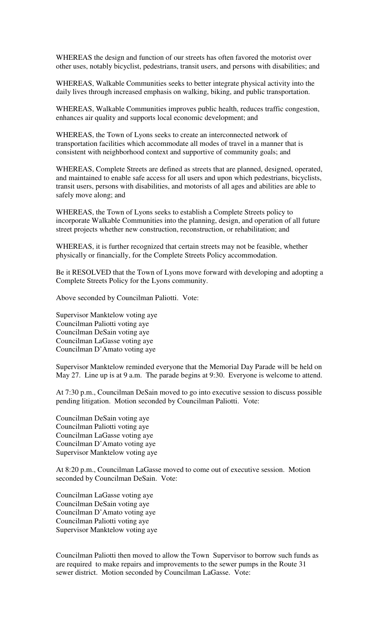WHEREAS the design and function of our streets has often favored the motorist over other uses, notably bicyclist, pedestrians, transit users, and persons with disabilities; and

WHEREAS, Walkable Communities seeks to better integrate physical activity into the daily lives through increased emphasis on walking, biking, and public transportation.

WHEREAS, Walkable Communities improves public health, reduces traffic congestion, enhances air quality and supports local economic development; and

WHEREAS, the Town of Lyons seeks to create an interconnected network of transportation facilities which accommodate all modes of travel in a manner that is consistent with neighborhood context and supportive of community goals; and

WHEREAS, Complete Streets are defined as streets that are planned, designed, operated, and maintained to enable safe access for all users and upon which pedestrians, bicyclists, transit users, persons with disabilities, and motorists of all ages and abilities are able to safely move along; and

WHEREAS, the Town of Lyons seeks to establish a Complete Streets policy to incorporate Walkable Communities into the planning, design, and operation of all future street projects whether new construction, reconstruction, or rehabilitation; and

WHEREAS, it is further recognized that certain streets may not be feasible, whether physically or financially, for the Complete Streets Policy accommodation.

Be it RESOLVED that the Town of Lyons move forward with developing and adopting a Complete Streets Policy for the Lyons community.

Above seconded by Councilman Paliotti. Vote:

Supervisor Manktelow voting aye Councilman Paliotti voting aye Councilman DeSain voting aye Councilman LaGasse voting aye Councilman D'Amato voting aye

Supervisor Manktelow reminded everyone that the Memorial Day Parade will be held on May 27. Line up is at 9 a.m. The parade begins at 9:30. Everyone is welcome to attend.

At 7:30 p.m., Councilman DeSain moved to go into executive session to discuss possible pending litigation. Motion seconded by Councilman Paliotti. Vote:

Councilman DeSain voting aye Councilman Paliotti voting aye Councilman LaGasse voting aye Councilman D'Amato voting aye Supervisor Manktelow voting aye

At 8:20 p.m., Councilman LaGasse moved to come out of executive session. Motion seconded by Councilman DeSain. Vote:

Councilman LaGasse voting aye Councilman DeSain voting aye Councilman D'Amato voting aye Councilman Paliotti voting aye Supervisor Manktelow voting aye

Councilman Paliotti then moved to allow the Town Supervisor to borrow such funds as are required to make repairs and improvements to the sewer pumps in the Route 31 sewer district. Motion seconded by Councilman LaGasse. Vote: